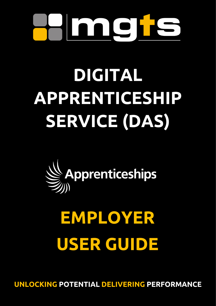

# **DIGITAL APPRENTICESHIP SERVICE (DAS)**



# **EMPLOYER USER GUIDE**

**UNLOCKING POTENTIAL DELIVERING PERFORMANCE**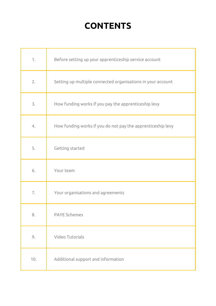# **CONTENTS**

| 1.  | Before setting up your apprenticeship service account       |
|-----|-------------------------------------------------------------|
| 2.  | Setting up multiple connected organisations in your account |
| 3.  | How funding works if you pay the apprenticeship levy        |
| 4.  | How funding works if you do not pay the apprenticeship levy |
| 5.  | Getting started                                             |
| 6.  | Your team                                                   |
| 7.  | Your organisations and agreements                           |
| 8.  | <b>PAYE Schemes</b>                                         |
| 9.  | Video Tutorials                                             |
| 10. | Additional support and information                          |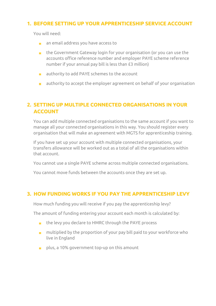## <span id="page-2-0"></span>**1. BEFORE SETTING UP YOUR APPRENTICESHIP SERVICE ACCOUNT**

You will need:

- **n** an email address you have access to
- **the Government Gateway login for your organisation (or you can use the** accounts office reference number and employer PAYE scheme reference number if your annual pay bill is less than £3 million)
- authority to add PAYE schemes to the account  $\mathcal{L}^{\text{max}}$
- authority to accept the employer agreement on behalf of your organisation **College**

# <span id="page-2-1"></span>**2. SETTING UP MULTIPLE CONNECTED ORGANISATIONS IN YOUR ACCOUNT**

You can add multiple connected organisations to the same account if you want to manage all your connected organisations in this way. You should register every organisation that will make an agreement with MGTS for apprenticeship training.

If you have set up your account with multiple connected organisations, your transfers allowance will be worked out as a total of all the organisations within that account.

You cannot use a single PAYE scheme across multiple connected organisations.

You cannot move funds between the accounts once they are set up.

### <span id="page-2-2"></span>**3. HOW FUNDING WORKS IF YOU PAY THE APPRENTICESHIP LEVY**

How much funding you will receive if you pay the apprenticeship levy?

The amount of funding entering your account each month is calculated by:

- the levy you declare to HMRC through the PAYE process  $\mathbf{m}$  .
- $\blacksquare$  multiplied by the proportion of your pay bill paid to your workforce who live in England
- **p** plus, a 10% government top-up on this amount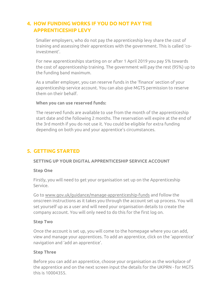# <span id="page-3-0"></span>**4. HOW FUNDING WORKS IF YOU DO NOT PAY THE APPRENTICESHIP LEVY**

Smaller employers, who do not pay the apprenticeship levy share the cost of training and assessing their apprentices with the government. This is called 'coinvestment'.

For new apprenticeships starting on or after 1 April 2019 you pay 5% towards the cost of apprenticeship training. The government will pay the rest (95%) up to the funding band maximum.

As a smaller employer, you can reserve funds in the 'finance' section of your apprenticeship service account. You can also give MGTS permission to reserve them on their behalf.

#### **When you can use reserved funds:**

The reserved funds are available to use from the month of the apprenticeship start date and the following 2 months. The reservation will expire at the end of the 3rd month if you do not use it. You could be eligible for extra funding depending on both you and your apprentice's circumstances.

# <span id="page-3-1"></span>**5. GETTING STARTED**

#### **SETTING UP YOUR DIGITAL APPRENTICESHIP SERVICE ACCOUNT**

#### **Step One**

Firstly, you will need to get your organisation set up on the Apprenticeship Service.

Go to [www.gov.uk/guidance/manage-apprenticeship-funds](file://///mgts.co.uk/data/Resources/Admin%20Admin/Angela%20Rowley/DAS%20User%20Guide/www.gov.uk/guidance/manage-apprenticeship-funds) and follow the onscreen instructions as it takes you through the account set up process. You will set yourself up as a user and will need your organisation details to create the company account. You will only need to do this for the first log on.

#### **Step Two**

Once the account is set up, you will come to the homepage where you can add, view and manage your apprentices. To add an apprentice, click on the 'apprentice' navigation and 'add an apprentice'.

#### **Step Three**

Before you can add an apprentice, choose your organisation as the workplace of the apprentice and on the next screen input the details for the UKPRN - for MGTS this is 10004355.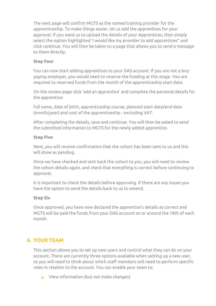The next page will confirm MGTS as the named training provider for the apprenticeship. To make things easier, let us add the apprentices for your approval. If you want us to upload the details of your Apprentices, then simply select the option highlighted 'I would like my provider to add apprentices" and click continue. You will then be taken to a page that allows you to send a message to them directly.

#### **Step Four**

You can now start adding apprentices to your DAS account. If you are not a levy paying employer, you would need to reserve the funding at this stage. You are required to reserved funds from the month of the apprenticeship start date.

On the review page click 'add an apprentice' and complete the personal details for the apprentice:

full name, date of birth, apprenticeship course, planned start date/end date (month/year) and cost of the apprenticeship - excluding VAT.

After completing the details, save and continue. You will then be asked to send the submitted information to MGTS for the newly added apprentice.

#### **Step Five**

Next, you will receive confirmation that the cohort has been sent to us and this will show as pending.

Once we have checked and sent back the cohort to you, you will need to review the cohort details again, and check that everything is correct before continuing to approval.

It is important to check the details before approving. If there are any issues you have the option to send the details back to us to amend.

#### **Step Six**

Once approved, you have now declared the apprentice's details as correct and MGTS will be paid the funds from your DAS account on or around the 18th of each month.

# <span id="page-4-0"></span>**6. YOUR TEAM**

This section allows you to set up new users and control what they can do on your account. There are currently three options available when setting up a new user, so you will need to think about which staff members will need to perform specific roles in relation to the account. You can enable your team to:

**View information (but not make changes)**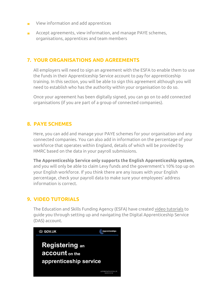- View information and add apprentices  $\mathbf{r}$
- Accept agreements, view information, and manage PAYE schemes,  $\mathbf{r}$ organisations, apprentices and team members

# <span id="page-5-0"></span>**7. YOUR ORGANISATIONS AND AGREEMENTS**

All employers will need to sign an agreement with the ESFA to enable them to use the funds in their Apprenticeship Service account to pay for apprenticeship training. In this section, you will be able to sign this agreement although you will need to establish who has the authority within your organisation to do so.

Once your agreement has been digitally signed, you can go on to add connected organisations (if you are part of a group of connected companies).

#### <span id="page-5-1"></span>**8. PAYE SCHEMES**

Here, you can add and manage your PAYE schemes for your organisation and any connected companies. You can also add in information on the percentage of your workforce that operates within England, details of which will be provided by HMRC based on the data in your payroll submissions.

**The Apprenticeship Service only supports the English Apprenticeship system,** and you will only be able to claim Levy funds and the government's 10% top up on your English workforce. If you think there are any issues with your English percentage, check your payroll data to make sure your employees' address information is correct.

### <span id="page-5-2"></span>**9. VIDEO TUTORIALS**

The Education and Skills Funding Agency (ESFA) have created [video tutorials](https://www.google.com/search?q=Guide+to+set+up+digital+apprenticeship+service&rlz=1C1GGRV_enGB751GB755&oq=Guide+to+set+up+digital+apprenticeship+service&aqs=chrome..69i57j33i160l2j33i22i29i30.10315j0j15&sourceid=chrome&ie=UTF-8#kpvalbx=_LvqNYvjgArSp8gLCho74Bg13) to guide you through setting up and navigating the Digital Apprenticeship Service (DAS) account.